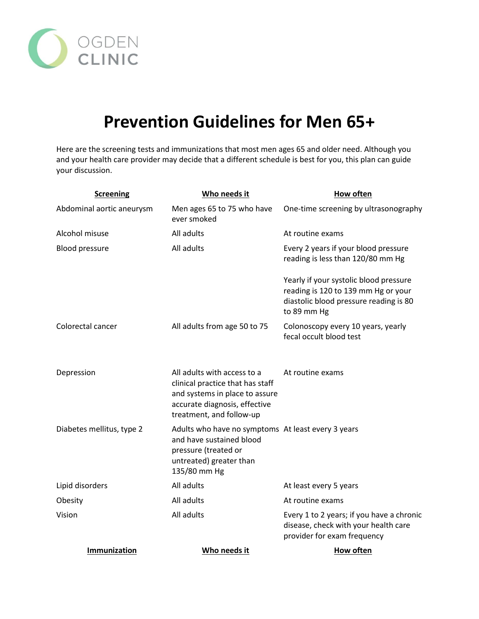

## **Prevention Guidelines for Men 65+**

Here are the screening tests and immunizations that most men ages 65 and older need. Although you and your health care provider may decide that a different schedule is best for you, this plan can guide your discussion.

| <b>Screening</b>          | Who needs it                                                                                                                                                   | How often                                                                                                                              |
|---------------------------|----------------------------------------------------------------------------------------------------------------------------------------------------------------|----------------------------------------------------------------------------------------------------------------------------------------|
| Abdominal aortic aneurysm | Men ages 65 to 75 who have<br>ever smoked                                                                                                                      | One-time screening by ultrasonography                                                                                                  |
| Alcohol misuse            | All adults                                                                                                                                                     | At routine exams                                                                                                                       |
| <b>Blood pressure</b>     | All adults                                                                                                                                                     | Every 2 years if your blood pressure<br>reading is less than 120/80 mm Hg                                                              |
|                           |                                                                                                                                                                | Yearly if your systolic blood pressure<br>reading is 120 to 139 mm Hg or your<br>diastolic blood pressure reading is 80<br>to 89 mm Hg |
| Colorectal cancer         | All adults from age 50 to 75                                                                                                                                   | Colonoscopy every 10 years, yearly<br>fecal occult blood test                                                                          |
| Depression                | All adults with access to a<br>clinical practice that has staff<br>and systems in place to assure<br>accurate diagnosis, effective<br>treatment, and follow-up | At routine exams                                                                                                                       |
| Diabetes mellitus, type 2 | Adults who have no symptoms At least every 3 years<br>and have sustained blood<br>pressure (treated or<br>untreated) greater than<br>135/80 mm Hg              |                                                                                                                                        |
| Lipid disorders           | All adults                                                                                                                                                     | At least every 5 years                                                                                                                 |
| Obesity                   | All adults                                                                                                                                                     | At routine exams                                                                                                                       |
| Vision                    | All adults                                                                                                                                                     | Every 1 to 2 years; if you have a chronic<br>disease, check with your health care<br>provider for exam frequency                       |
| Immunization              | Who needs it                                                                                                                                                   | <b>How often</b>                                                                                                                       |